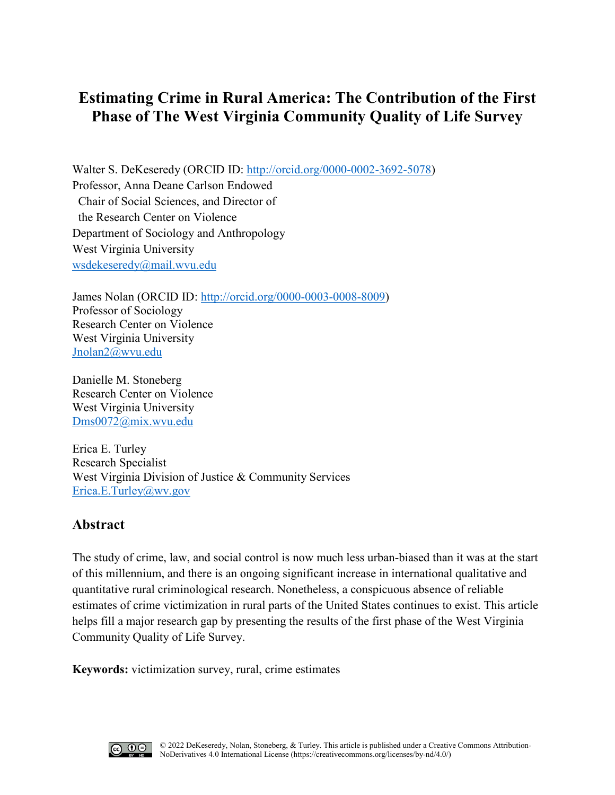# **Estimating Crime in Rural America: The Contribution of the First Phase of The West Virginia Community Quality of Life Survey**

Walter S. DeKeseredy (ORCID ID: [http://orcid.org/0000-0002-3692-5078\)](http://orcid.org/0000-0002-3692-5078) Professor, Anna Deane Carlson Endowed Chair of Social Sciences, and Director of the Research Center on Violence Department of Sociology and Anthropology West Virginia University [wsdekeseredy@mail.wvu.edu](mailto:wsdekeseredy@mail.wvu.edu)

James Nolan (ORCID ID: http://orcid.org/0000-0003-0008-8009) Professor of Sociology Research Center on Violence West Virginia University Jnolan2@wvu.edu

Danielle M. Stoneberg Research Center on Violence West Virginia University Dms0072@mix.wvu.edu

Erica E. Turley Research Specialist West Virginia Division of Justice & Community Services Erica.E.Turley@wv.gov

# **Abstract**

The study of crime, law, and social control is now much less urban-biased than it was at the start of this millennium, and there is an ongoing significant increase in international qualitative and quantitative rural criminological research. Nonetheless, a conspicuous absence of reliable estimates of crime victimization in rural parts of the United States continues to exist. This article helps fill a major research gap by presenting the results of the first phase of the West Virginia Community Quality of Life Survey.

**Keywords:** victimization survey, rural, crime estimates

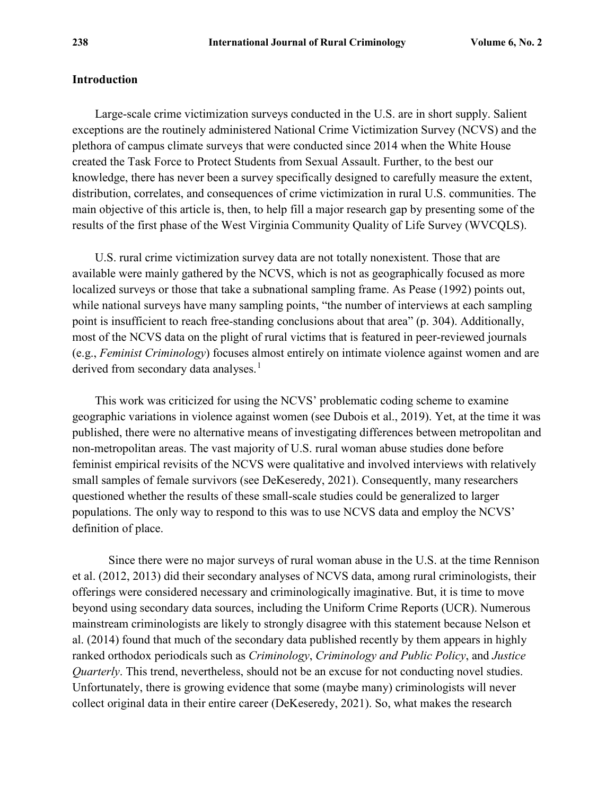#### **Introduction**

Large-scale crime victimization surveys conducted in the U.S. are in short supply. Salient exceptions are the routinely administered National Crime Victimization Survey (NCVS) and the plethora of campus climate surveys that were conducted since 2014 when the White House created the Task Force to Protect Students from Sexual Assault. Further, to the best our knowledge, there has never been a survey specifically designed to carefully measure the extent, distribution, correlates, and consequences of crime victimization in rural U.S. communities. The main objective of this article is, then, to help fill a major research gap by presenting some of the results of the first phase of the West Virginia Community Quality of Life Survey (WVCQLS).

U.S. rural crime victimization survey data are not totally nonexistent. Those that are available were mainly gathered by the NCVS, which is not as geographically focused as more localized surveys or those that take a subnational sampling frame. As Pease (1992) points out, while national surveys have many sampling points, "the number of interviews at each sampling point is insufficient to reach free-standing conclusions about that area" (p. 304). Additionally, most of the NCVS data on the plight of rural victims that is featured in peer-reviewed journals (e.g., *Feminist Criminology*) focuses almost entirely on intimate violence against women and are derived from secondary data analyses.<sup>[1](#page-12-0)</sup>

This work was criticized for using the NCVS' problematic coding scheme to examine geographic variations in violence against women (see Dubois et al., 2019). Yet, at the time it was published, there were no alternative means of investigating differences between metropolitan and non-metropolitan areas. The vast majority of U.S. rural woman abuse studies done before feminist empirical revisits of the NCVS were qualitative and involved interviews with relatively small samples of female survivors (see DeKeseredy, 2021). Consequently, many researchers questioned whether the results of these small-scale studies could be generalized to larger populations. The only way to respond to this was to use NCVS data and employ the NCVS' definition of place.

Since there were no major surveys of rural woman abuse in the U.S. at the time Rennison et al. (2012, 2013) did their secondary analyses of NCVS data, among rural criminologists, their offerings were considered necessary and criminologically imaginative. But, it is time to move beyond using secondary data sources, including the Uniform Crime Reports (UCR). Numerous mainstream criminologists are likely to strongly disagree with this statement because Nelson et al. (2014) found that much of the secondary data published recently by them appears in highly ranked orthodox periodicals such as *Criminology*, *Criminology and Public Policy*, and *Justice Quarterly*. This trend, nevertheless, should not be an excuse for not conducting novel studies. Unfortunately, there is growing evidence that some (maybe many) criminologists will never collect original data in their entire career (DeKeseredy, 2021). So, what makes the research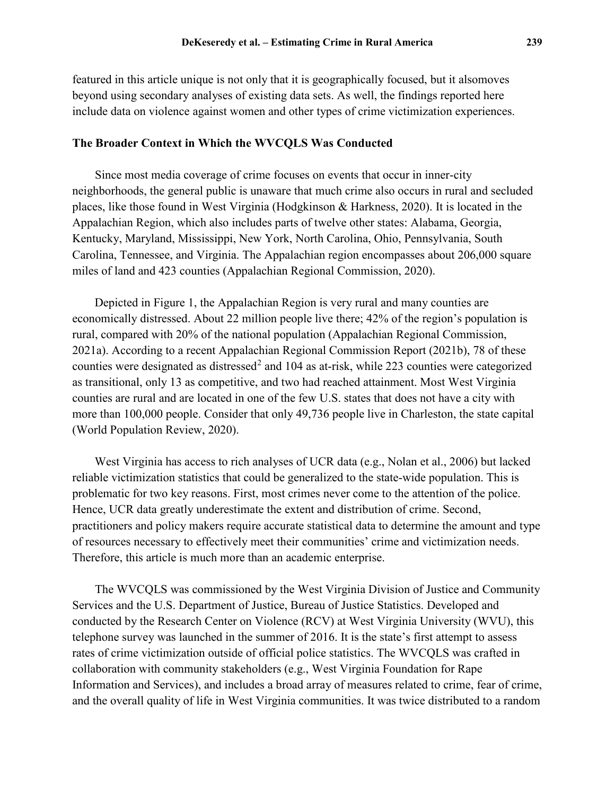featured in this article unique is not only that it is geographically focused, but it alsomoves beyond using secondary analyses of existing data sets. As well, the findings reported here include data on violence against women and other types of crime victimization experiences.

#### **The Broader Context in Which the WVCQLS Was Conducted**

Since most media coverage of crime focuses on events that occur in inner-city neighborhoods, the general public is unaware that much crime also occurs in rural and secluded places, like those found in West Virginia (Hodgkinson & Harkness, 2020). It is located in the Appalachian Region, which also includes parts of twelve other states: Alabama, Georgia, Kentucky, Maryland, Mississippi, New York, North Carolina, Ohio, Pennsylvania, South Carolina, Tennessee, and Virginia. The Appalachian region encompasses about 206,000 square miles of land and 423 counties (Appalachian Regional Commission, 2020).

Depicted in Figure 1, the Appalachian Region is very rural and many counties are economically distressed. About 22 million people live there; 42% of the region's population is rural, compared with 20% of the national population (Appalachian Regional Commission, 2021a). According to a recent Appalachian Regional Commission Report (2021b), 78 of these counties were designated as distressed<sup>[2](#page-12-1)</sup> and 104 as at-risk, while 223 counties were categorized as transitional, only 13 as competitive, and two had reached attainment. Most West Virginia counties are rural and are located in one of the few U.S. states that does not have a city with more than 100,000 people. Consider that only 49,736 people live in Charleston, the state capital (World Population Review, 2020).

West Virginia has access to rich analyses of UCR data (e.g., Nolan et al., 2006) but lacked reliable victimization statistics that could be generalized to the state-wide population. This is problematic for two key reasons. First, most crimes never come to the attention of the police. Hence, UCR data greatly underestimate the extent and distribution of crime. Second, practitioners and policy makers require accurate statistical data to determine the amount and type of resources necessary to effectively meet their communities' crime and victimization needs. Therefore, this article is much more than an academic enterprise.

The WVCQLS was commissioned by the West Virginia Division of Justice and Community Services and the U.S. Department of Justice, Bureau of Justice Statistics. Developed and conducted by the Research Center on Violence (RCV) at West Virginia University (WVU), this telephone survey was launched in the summer of 2016. It is the state's first attempt to assess rates of crime victimization outside of official police statistics. The WVCQLS was crafted in collaboration with community stakeholders (e.g., West Virginia Foundation for Rape Information and Services), and includes a broad array of measures related to crime, fear of crime, and the overall quality of life in West Virginia communities. It was twice distributed to a random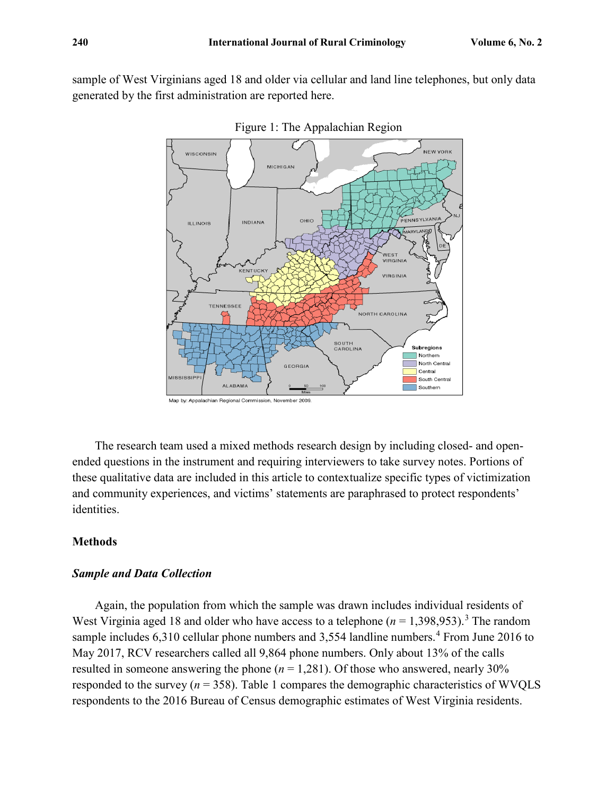sample of West Virginians aged 18 and older via cellular and land line telephones, but only data generated by the first administration are reported here.



Figure 1: The Appalachian Region

The research team used a mixed methods research design by including closed- and openended questions in the instrument and requiring interviewers to take survey notes. Portions of these qualitative data are included in this article to contextualize specific types of victimization and community experiences, and victims' statements are paraphrased to protect respondents' identities.

## **Methods**

#### *Sample and Data Collection*

Again, the population from which the sample was drawn includes individual residents of West Virginia aged 18 and older who have access to a telephone  $(n = 1,398,953)$  $(n = 1,398,953)$  $(n = 1,398,953)$ .<sup>3</sup> The random sample includes 6,310 cellular phone numbers and 3,55[4](#page-12-3) landline numbers.<sup>4</sup> From June 2016 to May 2017, RCV researchers called all 9,864 phone numbers. Only about 13% of the calls resulted in someone answering the phone  $(n = 1,281)$ . Of those who answered, nearly 30% responded to the survey ( $n = 358$ ). Table 1 compares the demographic characteristics of WVQLS respondents to the 2016 Bureau of Census demographic estimates of West Virginia residents.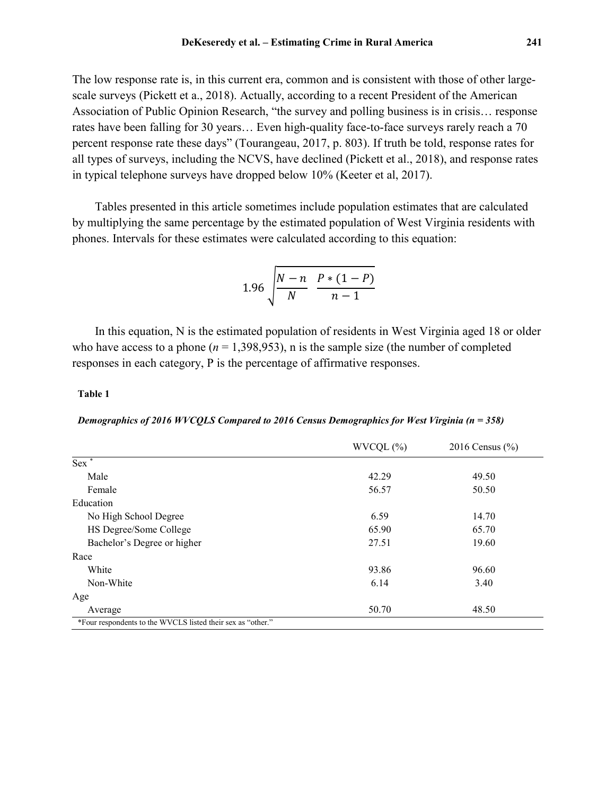The low response rate is, in this current era, common and is consistent with those of other largescale surveys (Pickett et a., 2018). Actually, according to a recent President of the American Association of Public Opinion Research, "the survey and polling business is in crisis… response rates have been falling for 30 years… Even high-quality face-to-face surveys rarely reach a 70 percent response rate these days" (Tourangeau, 2017, p. 803). If truth be told, response rates for all types of surveys, including the NCVS, have declined (Pickett et al., 2018), and response rates in typical telephone surveys have dropped below 10% (Keeter et al, 2017).

Tables presented in this article sometimes include population estimates that are calculated by multiplying the same percentage by the estimated population of West Virginia residents with phones. Intervals for these estimates were calculated according to this equation:

1.96 
$$
\sqrt{\frac{N-n}{N}} \frac{P*(1-P)}{n-1}
$$

In this equation, N is the estimated population of residents in West Virginia aged 18 or older who have access to a phone ( $n = 1,398,953$ ), n is the sample size (the number of completed responses in each category, P is the percentage of affirmative responses.

#### **Table 1**

*Demographics of 2016 WVCQLS Compared to 2016 Census Demographics for West Virginia (n = 358)*

|                                                             | WVCQL (%) | 2016 Census $(\% )$ |
|-------------------------------------------------------------|-----------|---------------------|
| $Sex^*$                                                     |           |                     |
| Male                                                        | 42.29     | 49.50               |
| Female                                                      | 56.57     | 50.50               |
| Education                                                   |           |                     |
| No High School Degree                                       | 6.59      | 14.70               |
| HS Degree/Some College                                      | 65.90     | 65.70               |
| Bachelor's Degree or higher                                 | 27.51     | 19.60               |
| Race                                                        |           |                     |
| White                                                       | 93.86     | 96.60               |
| Non-White                                                   | 6.14      | 3.40                |
| Age                                                         |           |                     |
| Average                                                     | 50.70     | 48.50               |
| *Four respondents to the WVCLS listed their sex as "other." |           |                     |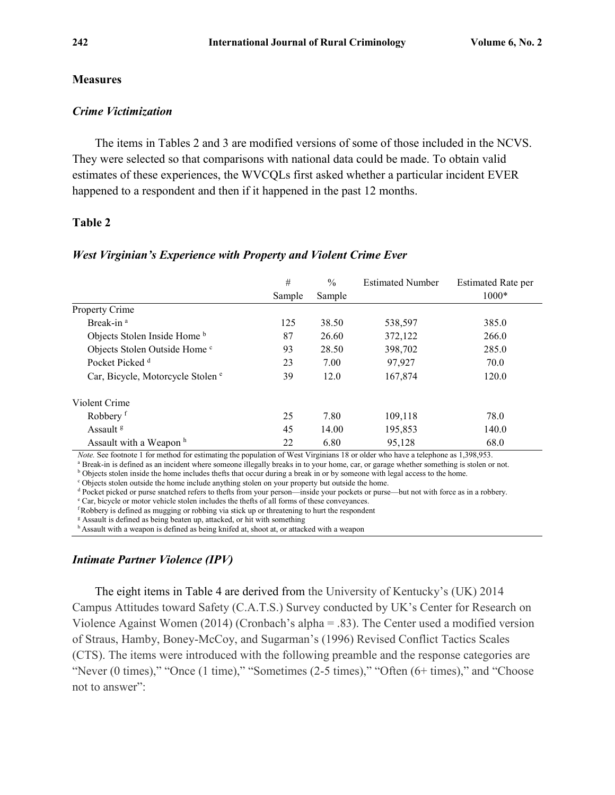#### **Measures**

#### *Crime Victimization*

The items in Tables 2 and 3 are modified versions of some of those included in the NCVS. They were selected so that comparisons with national data could be made. To obtain valid estimates of these experiences, the WVCQLs first asked whether a particular incident EVER happened to a respondent and then if it happened in the past 12 months.

## **Table 2**

|                                                                      | #                 | $\frac{0}{0}$ | <b>Estimated Number</b> | <b>Estimated Rate per</b> |
|----------------------------------------------------------------------|-------------------|---------------|-------------------------|---------------------------|
|                                                                      | Sample            | Sample        |                         | 1000*                     |
| Property Crime                                                       |                   |               |                         |                           |
| Break-in <sup>a</sup>                                                | 125               | 38.50         | 538,597                 | 385.0                     |
| Objects Stolen Inside Home <sup>b</sup>                              | 87                | 26.60         | 372,122                 | 266.0                     |
| Objects Stolen Outside Home c                                        | 93                | 28.50         | 398,702                 | 285.0                     |
| Pocket Picked <sup>d</sup>                                           | 23                | 7.00          | 97.927                  | 70.0                      |
| Car, Bicycle, Motorcycle Stolen <sup>e</sup>                         | 39                | 12.0          | 167,874                 | 120.0                     |
| Violent Crime                                                        |                   |               |                         |                           |
| Robbery <sup>f</sup>                                                 | 25                | 7.80          | 109,118                 | 78.0                      |
| Assault <sup>g</sup>                                                 | 45                | 14.00         | 195,853                 | 140.0                     |
| Assault with a Weapon <sup>h</sup><br>$\sim$ $\sim$<br>$\sim$ $\sim$ | 22<br>$\sim$ www. | 6.80          | 95,128<br>. .           | 68.0<br>.                 |

#### *West Virginian's Experience with Property and Violent Crime Ever*

*Note.* See footnote 1 for method for estimating the population of West Virginians 18 or older who have a telephone as 1,398,953.

<sup>a</sup> Break-in is defined as an incident where someone illegally breaks in to your home, car, or garage whether something is stolen or not.

b Objects stolen inside the home includes thefts that occur during a break in or by someone with legal access to the home.<br>C Objects stolen outside the home include anything stolen on your property but outside the home.

<sup>d</sup> Pocket picked or purse snatched refers to thefts from your person—inside your pockets or purse—but not with force as in a robbery.

<sup>e</sup> Car, bicycle or motor vehicle stolen includes the thefts of all forms of these conveyances.

f Robbery is defined as mugging or robbing via stick up or threatening to hurt the respondent

<sup>g</sup> Assault is defined as being beaten up, attacked, or hit with something

h Assault with a weapon is defined as being knifed at, shoot at, or attacked with a weapon

# *Intimate Partner Violence (IPV)*

The eight items in Table 4 are derived from the University of Kentucky's (UK) 2014 Campus Attitudes toward Safety (C.A.T.S.) Survey conducted by UK's Center for Research on Violence Against Women (2014) (Cronbach's alpha = .83). The Center used a modified version of Straus, Hamby, Boney-McCoy, and Sugarman's (1996) Revised Conflict Tactics Scales (CTS). The items were introduced with the following preamble and the response categories are "Never (0 times)," "Once (1 time)," "Sometimes (2-5 times)," "Often (6+ times)," and "Choose not to answer":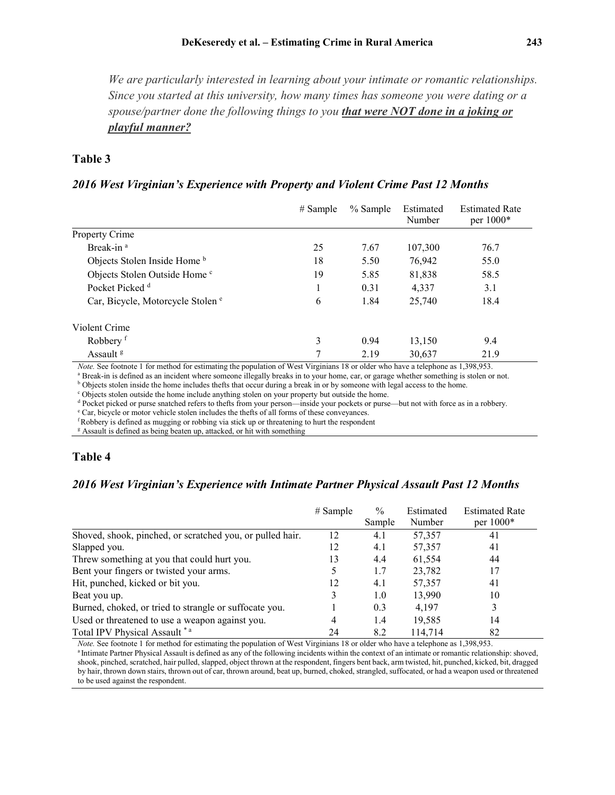*We are particularly interested in learning about your intimate or romantic relationships. Since you started at this university, how many times has someone you were dating or a spouse/partner done the following things to you that were NOT done in a joking or playful manner?*

#### **Table 3**

#### *2016 West Virginian's Experience with Property and Violent Crime Past 12 Months*

|                                                                                                                                                                                                                                                                                                                                                    | $#$ Sample | % Sample | Estimated<br>Number | <b>Estimated Rate</b><br>per $1000*$ |
|----------------------------------------------------------------------------------------------------------------------------------------------------------------------------------------------------------------------------------------------------------------------------------------------------------------------------------------------------|------------|----------|---------------------|--------------------------------------|
| Property Crime                                                                                                                                                                                                                                                                                                                                     |            |          |                     |                                      |
| Break-in <sup>a</sup>                                                                                                                                                                                                                                                                                                                              | 25         | 7.67     | 107,300             | 76.7                                 |
| Objects Stolen Inside Home b                                                                                                                                                                                                                                                                                                                       | 18         | 5.50     | 76.942              | 55.0                                 |
| Objects Stolen Outside Home c                                                                                                                                                                                                                                                                                                                      | 19         | 5.85     | 81,838              | 58.5                                 |
| Pocket Picked <sup>d</sup>                                                                                                                                                                                                                                                                                                                         |            | 0.31     | 4,337               | 3.1                                  |
| Car, Bicycle, Motorcycle Stolen <sup>e</sup>                                                                                                                                                                                                                                                                                                       | 6          | 1.84     | 25,740              | 18.4                                 |
| Violent Crime                                                                                                                                                                                                                                                                                                                                      |            |          |                     |                                      |
| Robbery <sup>f</sup>                                                                                                                                                                                                                                                                                                                               | 3          | 0.94     | 13,150              | 9.4                                  |
| Assault <sup>g</sup><br>$M_{\odot}$ and $\alpha$ and $\alpha$ and $\alpha$ and $\alpha$ and $\alpha$ and $\alpha$ and $\alpha$ and $\alpha$ and $\alpha$ and $\alpha$ and $\alpha$ and $\alpha$ and $\alpha$ and $\alpha$ and $\alpha$ and $\alpha$ and $\alpha$ and $\alpha$ and $\alpha$ and $\alpha$ and $\alpha$ and $\alpha$ and $\alpha$ and |            | 2.19     | 30,637              | 21.9                                 |

*Note.* See footnote 1 for method for estimating the population of West Virginians 18 or older who have a telephone as 1,398,953.

<sup>a</sup> Break-in is defined as an incident where someone illegally breaks in to your home, car, or garage whether something is stolen or not.

 $\overline{b}$  Objects stolen inside the home includes thefts that occur during a break in or by someone with legal access to the home.  $\overline{c}$  Objects stolen outside the home include anything stolen on your property but outsi

<sup>d</sup> Pocket picked or purse snatched refers to thefts from your person—inside your pockets or purse—but not with force as in a robbery.

<sup>e</sup> Car, bicycle or motor vehicle stolen includes the thefts of all forms of these conveyances.

f Robbery is defined as mugging or robbing via stick up or threatening to hurt the respondent

<sup>g</sup> Assault is defined as being beaten up, attacked, or hit with something

#### **Table 4**

#### *2016 West Virginian's Experience with Intimate Partner Physical Assault Past 12 Months*

|                                                           | $#$ Sample | $\%$<br>Sample | Estimated<br>Number | <b>Estimated Rate</b><br>per 1000* |
|-----------------------------------------------------------|------------|----------------|---------------------|------------------------------------|
| Shoved, shook, pinched, or scratched you, or pulled hair. | 12         | 4.1            | 57,357              | 41                                 |
| Slapped you.                                              | 12         | 4.1            | 57,357              | 41                                 |
| Threw something at you that could hurt you.               | 13         | 4.4            | 61,554              | 44                                 |
| Bent your fingers or twisted your arms.                   | 5          | 1.7            | 23,782              | 17                                 |
| Hit, punched, kicked or bit you.                          | 12         | 4.1            | 57,357              | 41                                 |
| Beat you up.                                              | 3          | 1.0            | 13,990              | 10                                 |
| Burned, choked, or tried to strangle or suffocate you.    |            | 0.3            | 4,197               | 3                                  |
| Used or threatened to use a weapon against you.           | 4          | 1.4            | 19,585              | 14                                 |
| Total IPV Physical Assault *a                             | 24         | 8.2            | 114,714             | 82                                 |

*Note.* See footnote 1 for method for estimating the population of West Virginians 18 or older who have a telephone as 1,398,953. <sup>a</sup> Intimate Partner Physical Assault is defined as any of the following incidents within the context of an intimate or romantic relationship: shoved, shook, pinched, scratched, hair pulled, slapped, object thrown at the respondent, fingers bent back, arm twisted, hit, punched, kicked, bit, dragged by hair, thrown down stairs, thrown out of car, thrown around, beat up, burned, choked, strangled, suffocated, or had a weapon used or threatened to be used against the respondent.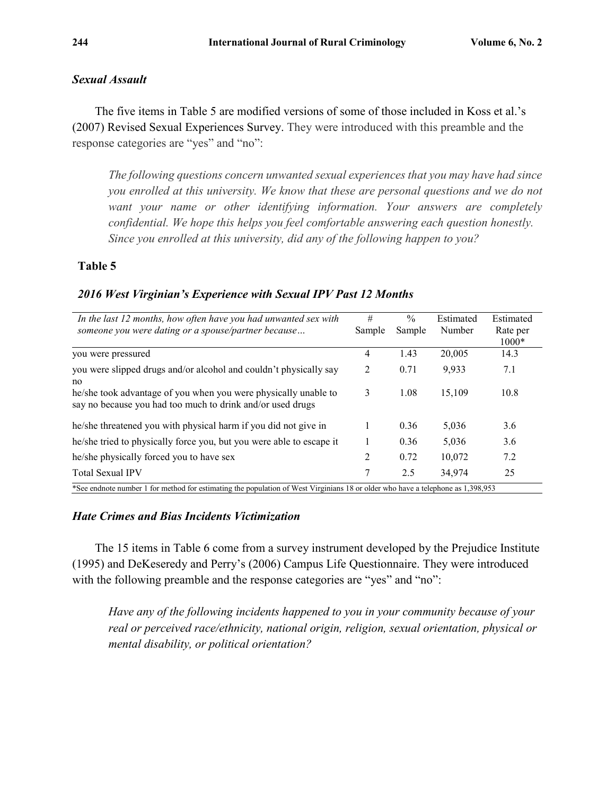#### *Sexual Assault*

The five items in Table 5 are modified versions of some of those included in Koss et al.'s (2007) Revised Sexual Experiences Survey. They were introduced with this preamble and the response categories are "yes" and "no":

*The following questions concern unwanted sexual experiences that you may have had since you enrolled at this university. We know that these are personal questions and we do not want your name or other identifying information. Your answers are completely confidential. We hope this helps you feel comfortable answering each question honestly. Since you enrolled at this university, did any of the following happen to you?* 

## **Table 5**

#### *2016 West Virginian's Experience with Sexual IPV Past 12 Months*

| In the last 12 months, how often have you had unwanted sex with                                                                 | #      | $\frac{0}{0}$ | Estimated | Estimated |
|---------------------------------------------------------------------------------------------------------------------------------|--------|---------------|-----------|-----------|
| someone you were dating or a spouse/partner because                                                                             | Sample | Sample        | Number    | Rate per  |
|                                                                                                                                 |        |               |           | $1000*$   |
| you were pressured                                                                                                              | 4      | 1.43          | 20,005    | 14.3      |
| you were slipped drugs and/or alcohol and couldn't physically say                                                               | 2      | 0.71          | 9,933     | 7.1       |
| no                                                                                                                              |        |               |           |           |
| he/she took advantage of you when you were physically unable to<br>say no because you had too much to drink and/or used drugs   | 3      | 1.08          | 15.109    | 10.8      |
|                                                                                                                                 |        |               |           |           |
| he/she threatened you with physical harm if you did not give in                                                                 |        | 0.36          | 5,036     | 3.6       |
| he/she tried to physically force you, but you were able to escape it                                                            |        | 0.36          | 5,036     | 3.6       |
| he/she physically forced you to have sex                                                                                        | 2      | 0.72          | 10.072    | 7.2       |
| <b>Total Sexual IPV</b>                                                                                                         | 7      | 2.5           | 34,974    | 25        |
| *See endnote number 1 for method for estimating the population of West Virginians 18 or older who have a telephone as 1,398,953 |        |               |           |           |

## *Hate Crimes and Bias Incidents Victimization*

The 15 items in Table 6 come from a survey instrument developed by the Prejudice Institute (1995) and DeKeseredy and Perry's (2006) Campus Life Questionnaire. They were introduced with the following preamble and the response categories are "yes" and "no":

*Have any of the following incidents happened to you in your community because of your real or perceived race/ethnicity, national origin, religion, sexual orientation, physical or mental disability, or political orientation?*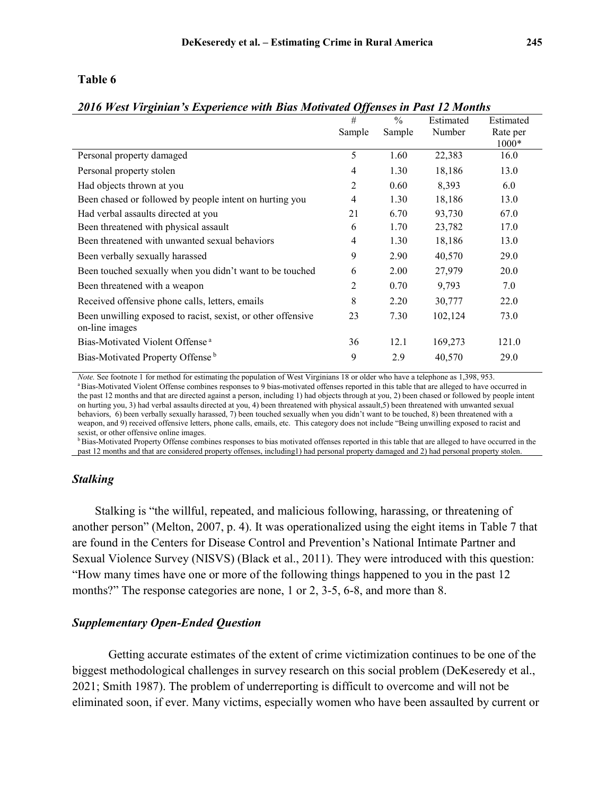#### **Table 6**

#### *2016 West Virginian's Experience with Bias Motivated Offenses in Past 12 Months*

|                                                                                | #              | $\frac{0}{0}$ | Estimated | Estimated |
|--------------------------------------------------------------------------------|----------------|---------------|-----------|-----------|
|                                                                                | Sample         | Sample        | Number    | Rate per  |
|                                                                                |                |               |           | 1000*     |
| Personal property damaged                                                      | 5              | 1.60          | 22,383    | 16.0      |
| Personal property stolen                                                       | $\overline{4}$ | 1.30          | 18,186    | 13.0      |
| Had objects thrown at you                                                      | 2              | 0.60          | 8,393     | 6.0       |
| Been chased or followed by people intent on hurting you                        | $\overline{4}$ | 1.30          | 18,186    | 13.0      |
| Had verbal assaults directed at you                                            | 21             | 6.70          | 93,730    | 67.0      |
| Been threatened with physical assault                                          | 6              | 1.70          | 23,782    | 17.0      |
| Been threatened with unwanted sexual behaviors                                 | 4              | 1.30          | 18,186    | 13.0      |
| Been verbally sexually harassed                                                | 9              | 2.90          | 40,570    | 29.0      |
| Been touched sexually when you didn't want to be touched                       | 6              | 2.00          | 27,979    | 20.0      |
| Been threatened with a weapon                                                  | 2              | 0.70          | 9,793     | 7.0       |
| Received offensive phone calls, letters, emails                                | 8              | 2.20          | 30,777    | 22.0      |
| Been unwilling exposed to racist, sexist, or other offensive<br>on-line images | 23             | 7.30          | 102,124   | 73.0      |
| Bias-Motivated Violent Offense <sup>a</sup>                                    | 36             | 12.1          | 169,273   | 121.0     |
| Bias-Motivated Property Offense <sup>b</sup>                                   | 9              | 2.9           | 40,570    | 29.0      |

*Note.* See footnote 1 for method for estimating the population of West Virginians 18 or older who have a telephone as 1,398, 953. a Bias-Motivated Violent Offense combines responses to 9 bias-motivated offenses reported in this table that are alleged to have occurred in the past 12 months and that are directed against a person, including 1) had objects through at you, 2) been chased or followed by people intent on hurting you, 3) had verbal assaults directed at you, 4) been threatened with physical assault,5) been threatened with unwanted sexual behaviors, 6) been verbally sexually harassed, 7) been touched sexually when you didn't want to be touched, 8) been threatened with a weapon, and 9) received offensive letters, phone calls, emails, etc. This category does not include "Being unwilling exposed to racist and sexist, or other offensive online images.

<sup>b</sup> Bias-Motivated Property Offense combines responses to bias motivated offenses reported in this table that are alleged to have occurred in the past 12 months and that are considered property offenses, including1) had personal property damaged and 2) had personal property stolen.

#### *Stalking*

Stalking is "the willful, repeated, and malicious following, harassing, or threatening of another person" (Melton, 2007, p. 4). It was operationalized using the eight items in Table 7 that are found in the Centers for Disease Control and Prevention's National Intimate Partner and Sexual Violence Survey (NISVS) (Black et al., 2011). They were introduced with this question: "How many times have one or more of the following things happened to you in the past 12 months?" The response categories are none, 1 or 2, 3-5, 6-8, and more than 8.

#### *Supplementary Open-Ended Question*

Getting accurate estimates of the extent of crime victimization continues to be one of the biggest methodological challenges in survey research on this social problem (DeKeseredy et al., 2021; Smith 1987). The problem of underreporting is difficult to overcome and will not be eliminated soon, if ever. Many victims, especially women who have been assaulted by current or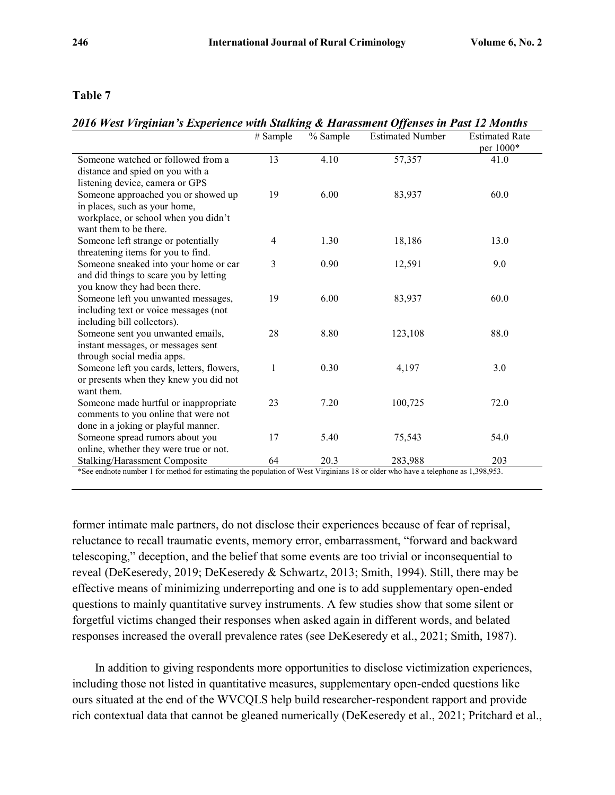#### **Table 7**

# *2016 West Virginian's Experience with Stalking & Harassment Offenses in Past 12 Months*

|                                                                      | # Sample | % Sample | <b>Estimated Number</b> | <b>Estimated Rate</b><br>per 1000* |
|----------------------------------------------------------------------|----------|----------|-------------------------|------------------------------------|
| Someone watched or followed from a                                   | 13       | 4.10     | 57,357                  | 41.0                               |
| distance and spied on you with a                                     |          |          |                         |                                    |
| listening device, camera or GPS                                      |          |          |                         |                                    |
| Someone approached you or showed up                                  | 19       | 6.00     | 83,937                  | 60.0                               |
| in places, such as your home,                                        |          |          |                         |                                    |
| workplace, or school when you didn't                                 |          |          |                         |                                    |
| want them to be there.                                               |          |          |                         |                                    |
| Someone left strange or potentially                                  | 4        | 1.30     | 18,186                  | 13.0                               |
| threatening items for you to find.                                   |          |          |                         |                                    |
| Someone sneaked into your home or car                                | 3        | 0.90     | 12,591                  | 9.0                                |
| and did things to scare you by letting                               |          |          |                         |                                    |
| you know they had been there.                                        |          |          |                         |                                    |
| Someone left you unwanted messages,                                  | 19       | 6.00     | 83,937                  | 60.0                               |
| including text or voice messages (not<br>including bill collectors). |          |          |                         |                                    |
| Someone sent you unwanted emails,                                    | 28       | 8.80     | 123,108                 | 88.0                               |
| instant messages, or messages sent                                   |          |          |                         |                                    |
| through social media apps.                                           |          |          |                         |                                    |
| Someone left you cards, letters, flowers,                            | 1        | 0.30     | 4,197                   | 3.0                                |
| or presents when they knew you did not                               |          |          |                         |                                    |
| want them.                                                           |          |          |                         |                                    |
| Someone made hurtful or inappropriate                                | 23       | 7.20     | 100,725                 | 72.0                               |
| comments to you online that were not                                 |          |          |                         |                                    |
| done in a joking or playful manner.                                  |          |          |                         |                                    |
| Someone spread rumors about you                                      | 17       | 5.40     | 75,543                  | 54.0                               |
| online, whether they were true or not.                               |          |          |                         |                                    |
| Stalking/Harassment Composite                                        | 64       | 20.3     | 283,988                 | 203                                |

\*See endnote number 1 for method for estimating the population of West Virginians 18 or older who have a telephone as 1,398,953.

former intimate male partners, do not disclose their experiences because of fear of reprisal, reluctance to recall traumatic events, memory error, embarrassment, "forward and backward telescoping," deception, and the belief that some events are too trivial or inconsequential to reveal (DeKeseredy, 2019; DeKeseredy & Schwartz, 2013; Smith, 1994). Still, there may be effective means of minimizing underreporting and one is to add supplementary open-ended questions to mainly quantitative survey instruments. A few studies show that some silent or forgetful victims changed their responses when asked again in different words, and belated responses increased the overall prevalence rates (see DeKeseredy et al., 2021; Smith, 1987).

In addition to giving respondents more opportunities to disclose victimization experiences, including those not listed in quantitative measures, supplementary open-ended questions like ours situated at the end of the WVCQLS help build researcher-respondent rapport and provide rich contextual data that cannot be gleaned numerically (DeKeseredy et al., 2021; Pritchard et al.,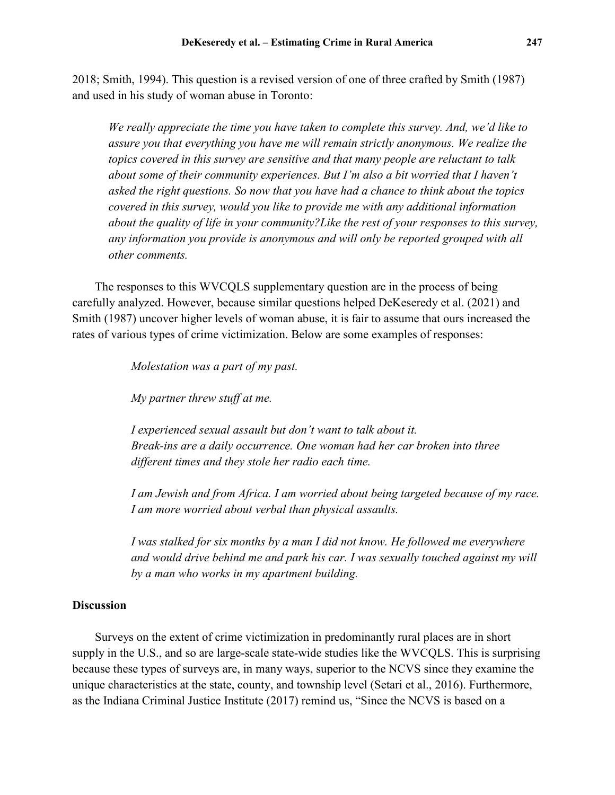2018; Smith, 1994). This question is a revised version of one of three crafted by Smith (1987) and used in his study of woman abuse in Toronto:

*We really appreciate the time you have taken to complete this survey. And, we'd like to assure you that everything you have me will remain strictly anonymous. We realize the topics covered in this survey are sensitive and that many people are reluctant to talk about some of their community experiences. But I'm also a bit worried that I haven't asked the right questions. So now that you have had a chance to think about the topics covered in this survey, would you like to provide me with any additional information about the quality of life in your community?Like the rest of your responses to this survey, any information you provide is anonymous and will only be reported grouped with all other comments.*

The responses to this WVCQLS supplementary question are in the process of being carefully analyzed. However, because similar questions helped DeKeseredy et al. (2021) and Smith (1987) uncover higher levels of woman abuse, it is fair to assume that ours increased the rates of various types of crime victimization. Below are some examples of responses:

*Molestation was a part of my past.*

*My partner threw stuff at me.*

*I experienced sexual assault but don't want to talk about it. Break-ins are a daily occurrence. One woman had her car broken into three different times and they stole her radio each time.*

*I am Jewish and from Africa. I am worried about being targeted because of my race. I am more worried about verbal than physical assaults.*

*I was stalked for six months by a man I did not know. He followed me everywhere and would drive behind me and park his car. I was sexually touched against my will by a man who works in my apartment building.*

#### **Discussion**

Surveys on the extent of crime victimization in predominantly rural places are in short supply in the U.S., and so are large-scale state-wide studies like the WVCQLS. This is surprising because these types of surveys are, in many ways, superior to the NCVS since they examine the unique characteristics at the state, county, and township level (Setari et al., 2016). Furthermore, as the Indiana Criminal Justice Institute (2017) remind us, "Since the NCVS is based on a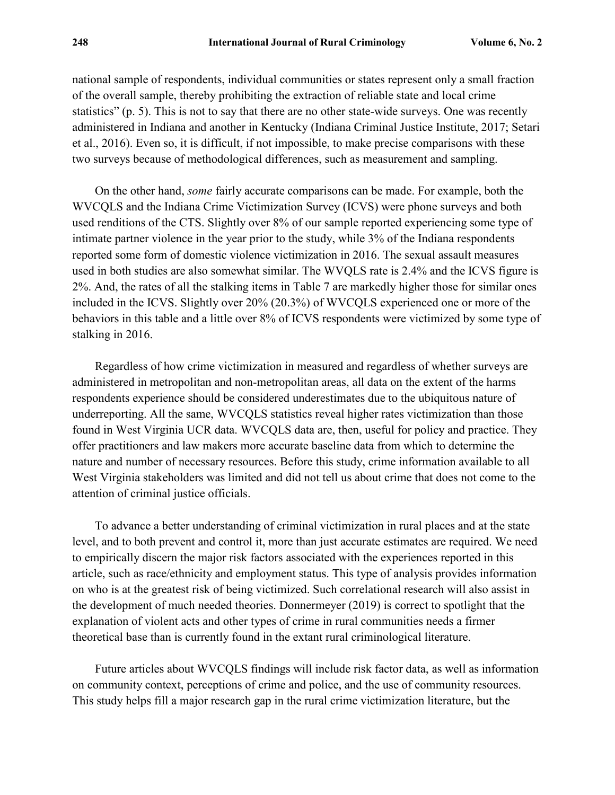national sample of respondents, individual communities or states represent only a small fraction of the overall sample, thereby prohibiting the extraction of reliable state and local crime statistics" (p. 5). This is not to say that there are no other state-wide surveys. One was recently administered in Indiana and another in Kentucky (Indiana Criminal Justice Institute, 2017; Setari et al., 2016). Even so, it is difficult, if not impossible, to make precise comparisons with these two surveys because of methodological differences, such as measurement and sampling.

On the other hand, *some* fairly accurate comparisons can be made. For example, both the WVCQLS and the Indiana Crime Victimization Survey (ICVS) were phone surveys and both used renditions of the CTS. Slightly over 8% of our sample reported experiencing some type of intimate partner violence in the year prior to the study, while 3% of the Indiana respondents reported some form of domestic violence victimization in 2016. The sexual assault measures used in both studies are also somewhat similar. The WVQLS rate is 2.4% and the ICVS figure is 2%. And, the rates of all the stalking items in Table 7 are markedly higher those for similar ones included in the ICVS. Slightly over 20% (20.3%) of WVCQLS experienced one or more of the behaviors in this table and a little over 8% of ICVS respondents were victimized by some type of stalking in 2016.

Regardless of how crime victimization in measured and regardless of whether surveys are administered in metropolitan and non-metropolitan areas, all data on the extent of the harms respondents experience should be considered underestimates due to the ubiquitous nature of underreporting. All the same, WVCQLS statistics reveal higher rates victimization than those found in West Virginia UCR data. WVCQLS data are, then, useful for policy and practice. They offer practitioners and law makers more accurate baseline data from which to determine the nature and number of necessary resources. Before this study, crime information available to all West Virginia stakeholders was limited and did not tell us about crime that does not come to the attention of criminal justice officials.

To advance a better understanding of criminal victimization in rural places and at the state level, and to both prevent and control it, more than just accurate estimates are required. We need to empirically discern the major risk factors associated with the experiences reported in this article, such as race/ethnicity and employment status. This type of analysis provides information on who is at the greatest risk of being victimized. Such correlational research will also assist in the development of much needed theories. Donnermeyer (2019) is correct to spotlight that the explanation of violent acts and other types of crime in rural communities needs a firmer theoretical base than is currently found in the extant rural criminological literature.

Future articles about WVCQLS findings will include risk factor data, as well as information on community context, perceptions of crime and police, and the use of community resources. This study helps fill a major research gap in the rural crime victimization literature, but the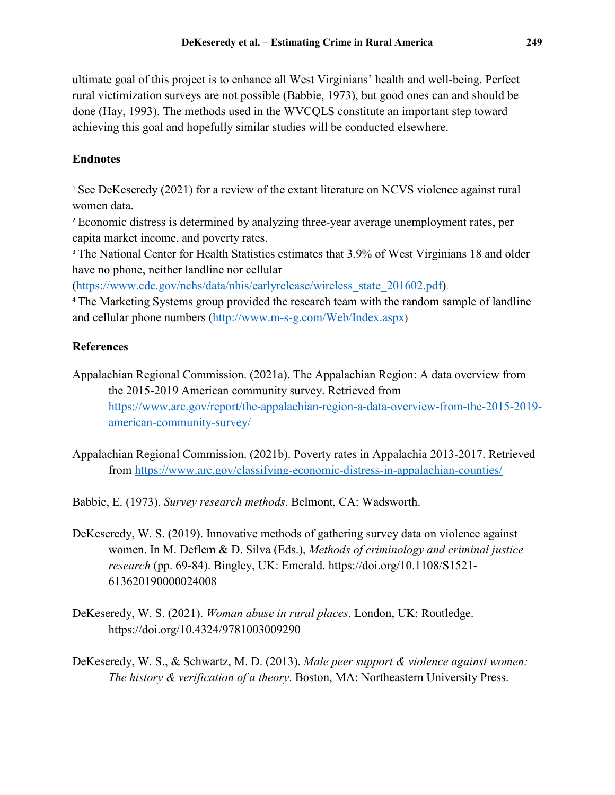ultimate goal of this project is to enhance all West Virginians' health and well-being. Perfect rural victimization surveys are not possible (Babbie, 1973), but good ones can and should be done (Hay, 1993). The methods used in the WVCQLS constitute an important step toward achieving this goal and hopefully similar studies will be conducted elsewhere.

# **Endnotes**

<span id="page-12-0"></span><sup>1</sup> See DeKeseredy (2021) for a review of the extant literature on NCVS violence against rural women data.

<span id="page-12-1"></span><sup>2</sup> Economic distress is determined by analyzing three-year average unemployment rates, per capita market income, and poverty rates.

<span id="page-12-2"></span><sup>3</sup> The National Center for Health Statistics estimates that 3.9% of West Virginians 18 and older have no phone, neither landline nor cellular

[\(https://www.cdc.gov/nchs/data/nhis/earlyrelease/wireless\\_state\\_201602.pdf\)](https://www.cdc.gov/nchs/data/nhis/earlyrelease/wireless_state_201602.pdf).

<span id="page-12-3"></span><sup>4</sup> The Marketing Systems group provided the research team with the random sample of landline and cellular phone numbers [\(http://www.m-s-g.com/Web/Index.aspx\)](http://www.m-s-g.com/Web/Index.aspx)

# **References**

- Appalachian Regional Commission. (2021a). The Appalachian Region: A data overview from the 2015-2019 American community survey. Retrieved from [https://www.arc.gov/report/the-appalachian-region-a-data-overview-from-the-2015-2019](https://www.arc.gov/report/the-appalachian-region-a-data-overview-from-the-2015-2019-american-community-survey/) [american-community-survey/](https://www.arc.gov/report/the-appalachian-region-a-data-overview-from-the-2015-2019-american-community-survey/)
- Appalachian Regional Commission. (2021b). Poverty rates in Appalachia 2013-2017. Retrieved from<https://www.arc.gov/classifying-economic-distress-in-appalachian-counties/>

Babbie, E. (1973). *Survey research methods*. Belmont, CA: Wadsworth.

- DeKeseredy, W. S. (2019). Innovative methods of gathering survey data on violence against women. In M. Deflem & D. Silva (Eds.), *Methods of criminology and criminal justice research* (pp. 69-84). Bingley, UK: Emerald. [https://doi.org/10.1108/S1521-](https://doi.org/10.1108/S1521-613620190000024008) [613620190000024008](https://doi.org/10.1108/S1521-613620190000024008)
- DeKeseredy, W. S. (2021). *Woman abuse in rural places*. London, UK: Routledge. <https://doi.org/10.4324/9781003009290>
- DeKeseredy, W. S., & Schwartz, M. D. (2013). *Male peer support & violence against women: The history & verification of a theory*. Boston, MA: Northeastern University Press.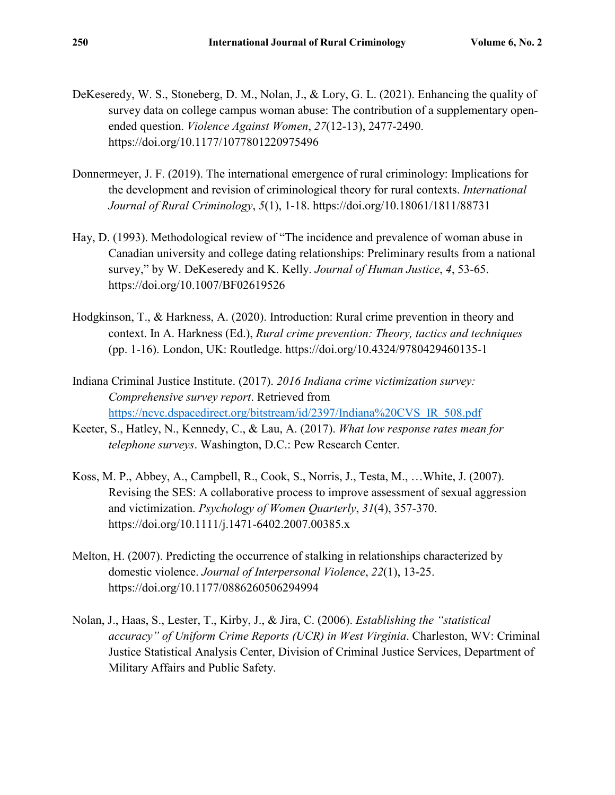- DeKeseredy, W. S., Stoneberg, D. M., Nolan, J., & Lory, G. L. (2021). Enhancing the quality of survey data on college campus woman abuse: The contribution of a supplementary openended question. *Violence Against Women*, *27*(12-13), 2477-2490. <https://doi.org/10.1177/1077801220975496>
- Donnermeyer, J. F. (2019). The international emergence of rural criminology: Implications for the development and revision of criminological theory for rural contexts. *International Journal of Rural Criminology*, *5*(1), 1-18. <https://doi.org/10.18061/1811/88731>
- Hay, D. (1993). Methodological review of "The incidence and prevalence of woman abuse in Canadian university and college dating relationships: Preliminary results from a national survey," by W. DeKeseredy and K. Kelly. *Journal of Human Justice*, *4*, 53-65. <https://doi.org/10.1007/BF02619526>
- Hodgkinson, T., & Harkness, A. (2020). Introduction: Rural crime prevention in theory and context. In A. Harkness (Ed.), *Rural crime prevention: Theory, tactics and techniques* (pp. 1-16). London, UK: Routledge.<https://doi.org/10.4324/9780429460135-1>
- Indiana Criminal Justice Institute. (2017). *2016 Indiana crime victimization survey: Comprehensive survey report*. Retrieved from [https://ncvc.dspacedirect.org/bitstream/id/2397/Indiana%20CVS\\_IR\\_508.pdf](https://ncvc.dspacedirect.org/bitstream/id/2397/Indiana%20CVS_IR_508.pdf)
- Keeter, S., Hatley, N., Kennedy, C., & Lau, A. (2017). *What low response rates mean for telephone surveys*. Washington, D.C.: Pew Research Center.
- Koss, M. P., Abbey, A., Campbell, R., Cook, S., Norris, J., Testa, M., …White, J. (2007). Revising the SES: A collaborative process to improve assessment of sexual aggression and victimization. *Psychology of Women Quarterly*, *31*(4), 357-370. <https://doi.org/10.1111/j.1471-6402.2007.00385.x>
- Melton, H. (2007). Predicting the occurrence of stalking in relationships characterized by domestic violence. *Journal of Interpersonal Violence*, *22*(1), 13-25. <https://doi.org/10.1177/0886260506294994>
- Nolan, J., Haas, S., Lester, T., Kirby, J., & Jira, C. (2006). *Establishing the "statistical accuracy" of Uniform Crime Reports (UCR) in West Virginia*. Charleston, WV: Criminal Justice Statistical Analysis Center, Division of Criminal Justice Services, Department of Military Affairs and Public Safety.